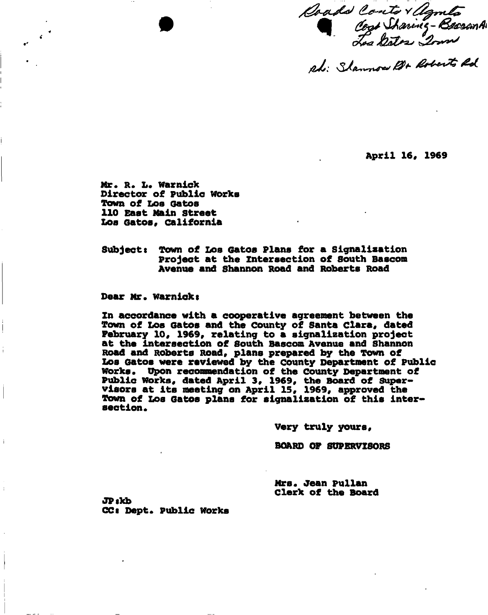Coads Conto Y Agmeta<br>Coat Sharing - Beasan A

*fiJL: tJL\*^\*\*\*\*\*\* <sup>4</sup> \** 

**April 16, 1969** 

Mr. R. L. Warnick **Director of Public works Town of Los Gatos 110 East Main street Los Gatos, California** 

**Subjects Town of Loa Gatos Plana for a Signaliaation Project at the intersection of South Bascom Avenue and Shannon Road and Roberts Road** 

**Dear Mr. warniekt** 

**Zn accordance with a cooperative agreement between the Town of Loa Gatos and the County of Santa Clara, dated Pebruary 10, 1969, relating to a signaliaation project at the intersection of South Bascom Avenue and Shannon Road and Roberts Road, plans prepared by the Town of Los Gatos were reviewed by the county Department of Public**  Works. Upon recommendation of the County Department of **Public Works, dated April 3, 1969, the Board of Supervisors at its meeting on April 15, 1969, approved the Town of Los Gatos plans for signaliaation of this inter\* section.** 

**Very truly yours,** 

**BOARD OP SUPERVISORS** 

Mrs. Jean **Pullan Clerk of the Board** 

**JPtkb CCt Dept. public works**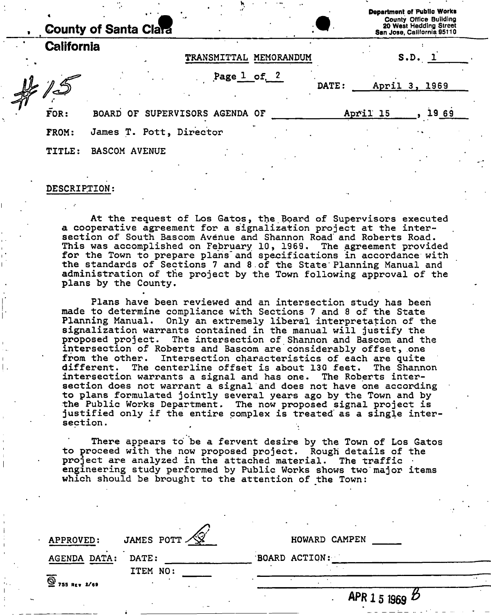|                   | <b>County of Santa Clara</b>   |                    |            |       |          | <b>Department of Public Works</b><br>County Office Building<br>20 West Hedding Street<br>San Jose, California 95110 |  |
|-------------------|--------------------------------|--------------------|------------|-------|----------|---------------------------------------------------------------------------------------------------------------------|--|
| <b>California</b> |                                | <b>TRANSMITTAL</b> | MEMORANDUM |       |          | S.D. 1                                                                                                              |  |
|                   |                                | Page $1$ of $2$    |            | DATE: |          | April 3, 1969                                                                                                       |  |
| FOR:              | BOARD OF SUPERVISORS AGENDA OF |                    |            |       | April 15 | L9 69                                                                                                               |  |
| FROM:             | James T. Pott, Director        |                    |            |       |          |                                                                                                                     |  |
| <b>TITLE:</b>     | <b>BASCOM AVENUE</b>           |                    |            |       |          |                                                                                                                     |  |

#### DESCRIPTION;

At the request of Los Gatos, the.Board of Supervisors executed a cooperative agreement for a signaiization project at the intersection of South Bascom Avenue and Shannon Road' and Roberts Road. This was accomplished on February 10, 1969. The agreement provided for the Town to prepare plans"and specifications in accordance with the standards of Sections 7 and 8 of the State Planning Manual and administration of the project by the Town following approval of the plans by the County.

Plans have been reviewed and an intersection study has been made to determine compliance with Sections 7 and 8 of the State Planning Manual. Only an extremely liberal interpretation of the signaiization warrants contained in the manual will justify the proposed project. The intersection of Shannon and Bascom and the intersection of Roberts and Bascom are considerably offset, one from the other. Intersection characteristics of each are quite different. The centerline offset is about 130 feet. The Shannon intersection warrants a signal and has one. The Roberts intersection does not warrant a signal and does not have one according to plans formulated jointly several years ago by the Town and by the Public Works Department. The now proposed signal project is justified only if the entire complex is treated' as a single intersection .

There appears to be a fervent desire by the Town of Los Gatos to proceed with the now proposed project. Rough details of the project are analyzed in the attached material. The traffic  $\cdot$ engineering study performed by Public Works shows two major items which should be brought to the attention of the Town:

| $-$ APPROVED:       | JAMES POTT $\mathcal{N}$ | HOWARD CAMPEN              |
|---------------------|--------------------------|----------------------------|
| <b>AGENDA DATA:</b> | DATE:                    | BOARD ACTION:              |
|                     | ITEM NO:                 |                            |
| $9$ 755 REV 2/69    |                          | APR 1 5 1969 $\mathcal{D}$ |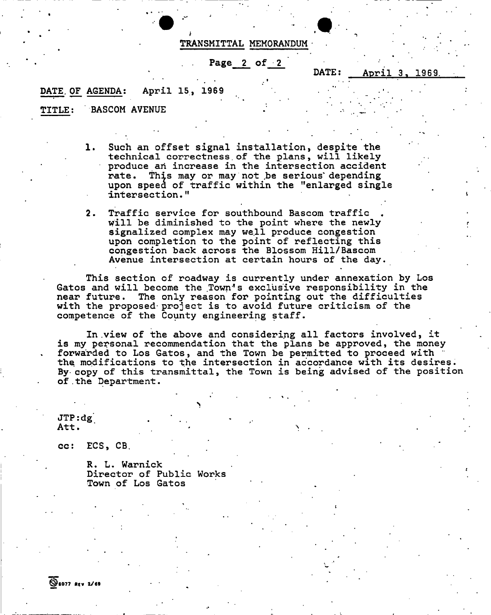#### TRANSMITTAL MEMORANDUM

Page 2 of 2

DATE: April 3, 1969

\* . • •

## DATE OF AGENDA: April 15, 1969

TITLE: BASCOM AVENUE

1. Such an offset signal installation, despite the technical correctness.of the plans, will likely produce an increase in the intersection accident rate. This may or may not be serious depending upon speed of traffic within the "enlarged single intersection."

2. Traffic service for southbound Bascom traffic " will be diminished to the point where the newly signalized complex may well produce congestion upon completion to the point of reflecting this congestion back across the Blossom Hill/Bascom Avenue intersection at certain hours of the day.

This section of roadway is currently under annexation by Los Gatos and will become the Town's exclusive responsibility in the near future. The only reason for pointing out the difficulties The only reason for pointing out the difficulties with the proposed-project is to avoid future criticism of the competence of the County engineering staff.

In .view of the above and considering all factors involved, it is my personal recommendation that the plans be approved, the money forwarded to Los Gatos, and the Town be permitted to proceed with the modifications to the intersection in accordance with its desires. By copy of this transmittal, the Town is being advised of the position of . the Department.

JTP:dg.<br>Att. Att.  $\begin{bmatrix} . & . & . \end{bmatrix}$ 

cc: ECS, CB.

R. L. Warnick Director of Public Works Town of Los Gatos

>

**SE077 REV 2/69**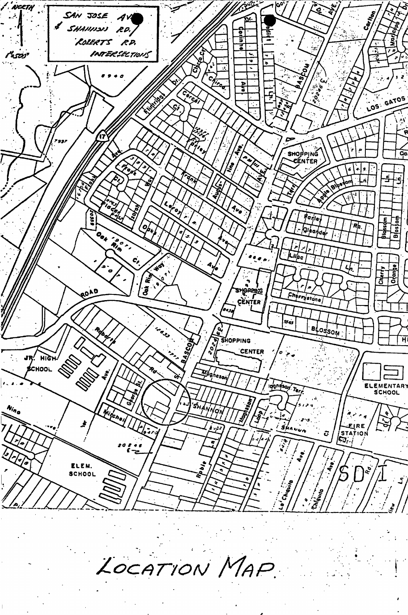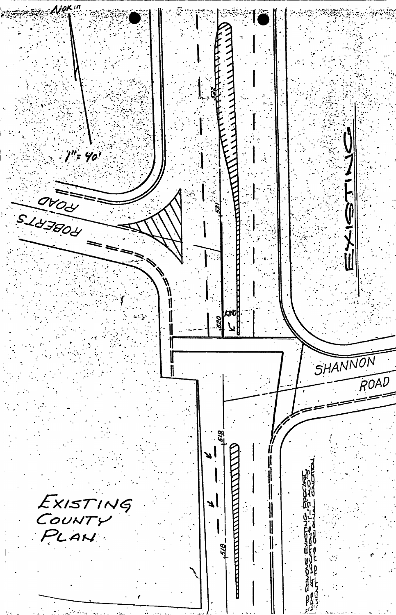$\mathcal{N}$ ok $^{in}$ لمنعلم  $1''$ = 40' OVOU 用水心  $\tilde{z}$ ₩ 1 **kino** or<br>Ri 1 ll SHANNON ∥  $\overline{ROAD}$  $\frac{1}{2}$ EXISTING<br>COUNTY<br>PLAN  $\begin{bmatrix} 1 & 1 & 1 \\ 1 & 1 & 1 \\ 1 & 1 & 1 \\ 1 & 1 & 1 \\ 1 & 1 & 1 \\ 1 & 1 & 1 \\ 1 & 1 & 1 \\ 1 & 1 & 1 \\ 1 & 1 & 1 \\ 1 & 1 & 1 \\ 1 & 1 & 1 \\ 1 & 1 & 1 \\ 1 & 1 & 1 \\ 1 & 1 & 1 \\ 1 & 1 & 1 \\ 1 & 1 & 1 \\ 1 & 1 & 1 \\ 1 & 1 & 1 \\ 1 & 1 & 1 \\ 1 & 1 & 1 \\ 1 & 1 & 1 \\ 1 & 1 & 1 \\ 1 & 1 & 1 \\ 1 & 1 &$  $\frac{1}{2}$  $\parallel$ 518.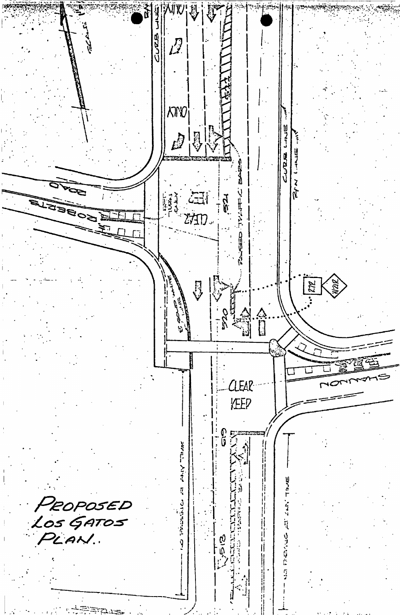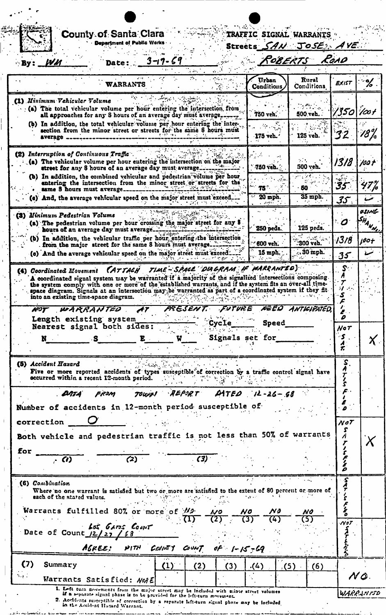|     |            |                               | <b>Department of Public Works</b>                                                                                                                                                                                |              |     |     |                   | Streets .                                | SAN JOSE AVE                      |                 |                                    |
|-----|------------|-------------------------------|------------------------------------------------------------------------------------------------------------------------------------------------------------------------------------------------------------------|--------------|-----|-----|-------------------|------------------------------------------|-----------------------------------|-----------------|------------------------------------|
|     | By: 19M    |                               | <b>Date:</b>                                                                                                                                                                                                     |              |     |     |                   |                                          | ROBERTS                           | ROAD            |                                    |
|     |            |                               |                                                                                                                                                                                                                  |              |     |     |                   |                                          |                                   |                 |                                    |
|     |            |                               | WARRANTS                                                                                                                                                                                                         |              |     |     |                   | Urban<br><b>Conditions</b>               | Rural<br>Conditions               | EXIST           | $\frac{9}{6}$                      |
|     |            | (1) Minimum Vehicular Volume  |                                                                                                                                                                                                                  |              |     |     |                   |                                          |                                   |                 |                                    |
|     |            |                               | (a) The total vehicular volume per hour entering the intersection from<br>all approaches for any S hours of an average day must average.                                                                         |              |     |     |                   | 750 veh.                                 | 500 veh.                          | 1350            | $1/\infty$ f                       |
|     |            |                               | (b) In addition, the total vehicular volume per hour entering the inter-                                                                                                                                         |              |     |     |                   |                                          |                                   |                 |                                    |
|     |            |                               | section from the minor street or streets for the same 8 hours must                                                                                                                                               |              |     |     |                   | $-175$ veh.                              | 125 veh.                          | 32              | '18%                               |
|     |            |                               | (2) Interruption of Continuous Traffic                                                                                                                                                                           |              |     |     |                   |                                          |                                   |                 |                                    |
|     |            |                               | (a) The vehicular volume per hour entering the intersection on the major<br>street for any 8 hours of an average day must average.                                                                               |              |     |     |                   | 750 veb.                                 | . .<br>500 veh.                   | 1318            | 700 F                              |
|     |            |                               | (b) In addition, the combined vehicular and pedestrian volume per hour                                                                                                                                           |              |     |     |                   |                                          |                                   |                 |                                    |
|     |            |                               | entering the intersection from the minor street or streets for the<br>same 8 hours must average.                                                                                                                 |              |     |     |                   | 75 °                                     | 50                                | 35.             | 47 ľ                               |
|     |            |                               | (e) And, the average vehicular speed on the major street must exceed                                                                                                                                             |              |     |     |                   | 20 mph.<br><b>CARTER</b>                 | $35$ mph.                         | 35 <sub>1</sub> |                                    |
|     |            | (3) Minimum Pedestrian Volume |                                                                                                                                                                                                                  |              |     |     |                   |                                          |                                   |                 | osinl                              |
|     |            |                               | (a) The pedestrian volume per hour crossing the major street for any 8<br>hours of an average day must average_                                                                                                  |              |     |     |                   | 250 peds.                                | 125 peds.                         | ۰O              | SHA <sub>N N</sub>                 |
|     |            |                               | (b) In addition, the vehicular traffic per hour entering the intersection                                                                                                                                        |              |     |     |                   |                                          | 535.                              | 13/8            | lë0+                               |
|     |            |                               | from the major street for the same 8 hours must average.<br>(c) And the average vehicular speed on the major street must exceed.                                                                                 |              |     |     |                   | 600 veh.<br>15 mph.                      | :300 veb.<br>$\therefore$ 30 mph. |                 | شمسة                               |
|     |            |                               |                                                                                                                                                                                                                  |              |     |     |                   |                                          |                                   | 35              |                                    |
|     |            | (4) Coordinated Movement      |                                                                                                                                                                                                                  |              |     |     |                   | (ATTACH TIME-SPACE DIAGRAM IF WARRANTED) |                                   |                 |                                    |
|     |            |                               | A coordinated signal system may be warranted if a majority of the signalized intersections composing<br>the system comply with one or more of the established warrants, and if the system fits an over-all time- |              |     |     |                   |                                          |                                   |                 |                                    |
|     |            |                               | space diagram. Signals at an intersection may be warranted as part of a coordinated system if they fit<br>into an existing time-space diagram.                                                                   |              |     |     |                   |                                          |                                   | 87 S            |                                    |
|     |            |                               |                                                                                                                                                                                                                  |              |     |     |                   |                                          |                                   |                 |                                    |
|     |            |                               | NOT WARRANTED AT                                                                                                                                                                                                 |              |     |     |                   | PRESENT. FUTURE NEED ANTICIPATED         |                                   |                 |                                    |
|     |            |                               | Length existing system                                                                                                                                                                                           |              |     |     |                   |                                          |                                   | z.<br>D         |                                    |
|     |            |                               | Nearest signal both sides:                                                                                                                                                                                       |              |     |     | - Cycle           | <b>Speed</b>                             |                                   | $N$ o $T$       |                                    |
|     | N.         |                               | s                                                                                                                                                                                                                | $\mathbf{E}$ | U   |     |                   | Signals set for                          |                                   |                 |                                    |
|     |            |                               |                                                                                                                                                                                                                  |              |     |     |                   |                                          |                                   |                 |                                    |
|     |            | (5) Accident Hazard           |                                                                                                                                                                                                                  |              |     |     |                   |                                          |                                   | $\mathbf{2}$    |                                    |
|     |            |                               | Five or more reported accidents of types susceptible of correction by a traffic control signal have<br>occurred within a recent 12-month period.                                                                 |              |     |     |                   |                                          |                                   |                 |                                    |
|     |            | $\mathcal{A}$                 | FROM                                                                                                                                                                                                             |              |     |     |                   | TOWAL REPORT DATED 12-26-58              |                                   |                 |                                    |
|     |            |                               |                                                                                                                                                                                                                  |              |     |     |                   |                                          |                                   |                 |                                    |
|     |            |                               | Number of accidents in 12-month period susceptible of                                                                                                                                                            |              |     |     |                   |                                          |                                   |                 |                                    |
|     | correction |                               |                                                                                                                                                                                                                  |              |     |     |                   |                                          |                                   | $N \sigma T$    |                                    |
|     |            |                               | Both vehicle and pedestrian traffic is not less than 50% of warrants                                                                                                                                             |              |     |     |                   |                                          |                                   |                 |                                    |
| for |            |                               |                                                                                                                                                                                                                  |              |     |     |                   |                                          |                                   |                 |                                    |
|     |            | $\overline{\cdot}$ (1)        | (2)                                                                                                                                                                                                              |              |     | (3) |                   |                                          |                                   |                 |                                    |
|     |            |                               |                                                                                                                                                                                                                  |              |     |     |                   |                                          |                                   |                 |                                    |
|     |            | (6) Combination               |                                                                                                                                                                                                                  |              |     |     |                   |                                          |                                   |                 |                                    |
|     |            | each of the stated values.    | Where no one warrant is satisfied but two or more are satisfied to the extent of 80 percent or more of                                                                                                           |              |     |     |                   |                                          |                                   |                 |                                    |
|     |            |                               | Warrants fulfilled 80% or more of Ma-                                                                                                                                                                            |              |     |     | $\mathcal{N}$ 9   | NO<br>No                                 | NO                                |                 |                                    |
|     |            |                               |                                                                                                                                                                                                                  |              |     |     | (2)               | (4)<br>(3)                               | (5)                               | $N$ o $T$       |                                    |
|     |            |                               | Las Garos Count<br>Date of Count $12/27/58$                                                                                                                                                                      |              |     |     |                   |                                          |                                   |                 |                                    |
|     |            |                               | AGREE: WITH COUNTY                                                                                                                                                                                               |              |     |     |                   |                                          |                                   |                 |                                    |
|     |            |                               |                                                                                                                                                                                                                  |              |     |     | COUNT OF $I-K-69$ |                                          |                                   |                 |                                    |
|     | (7)        | Summary                       | <i><b>Warrants Satisfied: NotE</b></i>                                                                                                                                                                           |              | (1) | (2) | (3)               | (4)                                      | (5)<br>(6)                        |                 | $\boldsymbol{\mathsf{X}}$ .<br>N Q |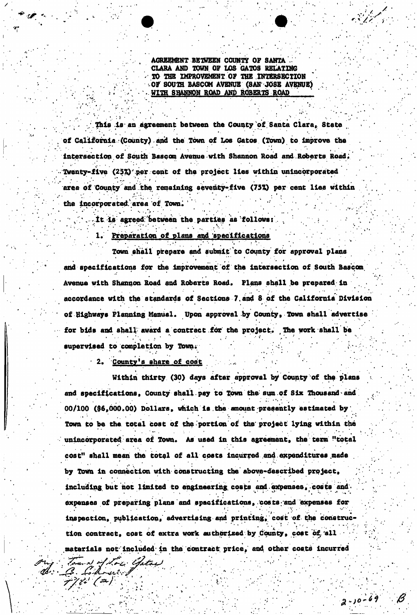AGREEMENT BETWEEN COUNTY OF SANTA CLARA AND TOWN OF LOS GATOS RELATING TO THE IMPROVEMENT OF THE INTERSECTION OF SOUTH BASCOM AVENUE (SAN JOSE AVENUE) • WITH SHANNON ROAD AND ROBERTS ROAD

 $/$  This is an agreement between the County of Santa Clara, State  $/$ of California (County) *and* the Town of Los Gatos (Town) to improve the intersection of South Bascom Avenue with Shannon Road and Roberts Road;  $\mathbf{e}^{\mathbf{e}}$  .  $\mathbf{e}^{\mathbf{e}}$  ,  $\mathbf{e}^{\mathbf{e}}$  ,  $\mathbf{e}^{\mathbf{e}}$  ,  $\mathbf{e}^{\mathbf{e}}$  ,  $\mathbf{e}^{\mathbf{e}}$  ,  $\mathbf{e}^{\mathbf{e}}$  ,  $\mathbf{e}^{\mathbf{e}}$  ,  $\mathbf{e}^{\mathbf{e}}$  ,  $\mathbf{e}^{\mathbf{e}}$  ,  $\mathbf{e}^{\mathbf{e}}$  ,  $\mathbf{e}^{\mathbf{e}}$  ,  $\mathbf{$ Twenty-five (25%) per cent of the project lies within unincorporated area of County and the remaining seventy-five (75%) per cent lies within the incorporated area of Town.

 $\mathbf{1} \cdot \mathbf{1} \cdot \mathbf{1} \cdot \mathbf{1} \cdot \mathbf{1} \cdot \mathbf{1} \cdot \mathbf{1} \cdot \mathbf{1} \cdot \mathbf{1} \cdot \mathbf{1} \cdot \mathbf{1} \cdot \mathbf{1} \cdot \mathbf{1} \cdot \mathbf{1} \cdot \mathbf{1} \cdot \mathbf{1} \cdot \mathbf{1} \cdot \mathbf{1} \cdot \mathbf{1} \cdot \mathbf{1} \cdot \mathbf{1} \cdot \mathbf{1} \cdot \mathbf{1} \cdot \mathbf{1} \cdot \mathbf{1} \cdot \mathbf{1} \cdot \mathbf{1} \cdot \mathbf{$ .It is: agreed;'between the parties as follows: .

1. Preparation of plans and specifications

Town shall prepare and submit to County for approval plans and specifications for the improvement of the intersection of South Bascom Avenue with Shannon Road and Roberts Road. Plans shall be prepared in accordance with the standards of Sections 7 and 8 of the California Division of Highways Planning Manual. Upon approval by County, Town shall advertise for bids and shall award a contract for the project. The work shall be . For example, we can examine the set of  $\mathcal{M} = \{M_1, \ldots, M_n\}$  . For example, we can examine the set of  $\mathcal{M}$  $\mathcal{A}^{\mathcal{A}}$  , and the set of  $\mathcal{A}^{\mathcal{A}}$  , and the set of  $\mathcal{A}^{\mathcal{A}}$  , and  $\mathcal{A}^{\mathcal{A}}$  , and 1 supervised to completion by Town.

. The second contribution of the second contribution  $\mathcal{L}^{\mathcal{A}}$  , we have the second contribution of the second contribution of the second contribution of the second contribution of the second contribution of the sec

 $P_{\text{number}}$  a shore of cost  $P_{\text{other}}$ '2. County's share of cost

772' (2)

: }

Within thirty (30) days after approval by County of the plans « and specifications, County shall pay to Town the sum of Six Thousand and 00/100 (\$6,000.00) Dollars, which is the amount presently estimated by Town to be the total cost of the portion of the' project lying within the unincorporated area of Town. As used in this agreement, the term "total cost" shall mean the total of all costs incurred and expenditures made by Town In connection with constructing the above-described project,  $\mathbf{I}=\mathbf{I}=\mathbf{I}=\mathbf{I}=\mathbf{I}=\mathbf{I}=\mathbf{I}=\mathbf{I}=\mathbf{I}=\mathbf{I}=\mathbf{I}=\mathbf{I}=\mathbf{I}=\mathbf{I}=\mathbf{I}=\mathbf{I}=\mathbf{I}=\mathbf{I}=\mathbf{I}=\mathbf{I}=\mathbf{I}=\mathbf{I}=\mathbf{I}=\mathbf{I}=\mathbf{I}=\mathbf{I}=\mathbf{I}=\mathbf{I}=\mathbf{I}=\mathbf{I}=\mathbf{I}=\mathbf{I}=\mathbf{I}=\mathbf{I}=\mathbf{I}=\mathbf{I}=\mathbf{$ including, but hot limited to engineering, costs and  $\mathcal{E}$  and  $\mathcal{E}$  and  $\mathcal{E}$  and  $\mathcal{E}$  and  $\mathcal{E}$  and  $\mathcal{E}$  and  $\mathcal{E}$  and  $\mathcal{E}$  and  $\mathcal{E}$  and  $\mathcal{E}$  and  $\mathcal{E}$  and  $\mathcal{E}$  and  $\mathcal{E}$  and expenses of preparing plans and specifications, /costs;and "expenses for inspection, publication, advertising apd printing, cost of the construe\* tlon contract, cost of extra work authorized by County, cost of,'all materials not included in the contract price, and other costs incurred<br>  $\frac{d}{dx}$   $\frac{d}{dx}$ 

*a-io-H 0*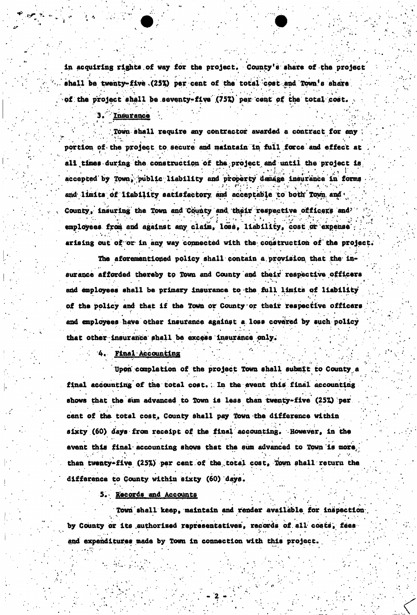in acquiring rights of way for the project. County's share of the project shall be twenty-five  $(25%)$  per cent of the total cost and Town's share of the project shall be seventy-five  $(757)$  per cent of the total cost.

Insurance

Town shall require any contractor awarded a contract for any portion of the project to secure and maintain in full force and effect at . all times during the construction of the project and until the project is accepted by Town, public liability and property damage insurance in forms  $\cdots$ *• ' \*• • . ' . i ' •* r\*«' \* . v., . ' . . •t • • . • . *• ••* \* • . and limits of liability satisfactory and acceptable to both Town and  $\cdot$ County, insuring the Town and County and; their respective officers and? ' " . , ' .V ^.."V'•;:>. V -v/• • V employees from and against anyclaim, 1**ms**, liability, cost or expense ; arising out of or in any way connected with the construction of the project.

The aforementioned policy shall contain a provision that the insurance afforded thereby **to** Town and County and their respective officers and employees shall be primary insurance to the full limits of liability of the policy and that if the Town or County or their respective officers and employees have **Other** Insurance against a. loss covered by such policy that other insurance shall be excess insurance only.

\* . . • . . • • • . "•, «

4. Final Accounting

Upon' completion of the project Town shall submit to County a final accounting of the total cost. ; In the event this final accounting shows that the sum advanced to Town is less than twenty-five (25%) per cent of the total cost, County shall pay Town the difference within sixty (60) days from receipt of the final accounting. However, in the event this final-accounting shows that the sum advanced to Town is more, than twenty-five (25%) per cent of the total cost, fown shall return the difference to County within sixty (60) days.

5.- Records and Accounts

Town shall keep, maintain and render available for inspection by County or its authorized representatives, records of all costs, fees by County or its .authorized representatives, records of all costs, fees

and expenditures made by Town in connection with this project. .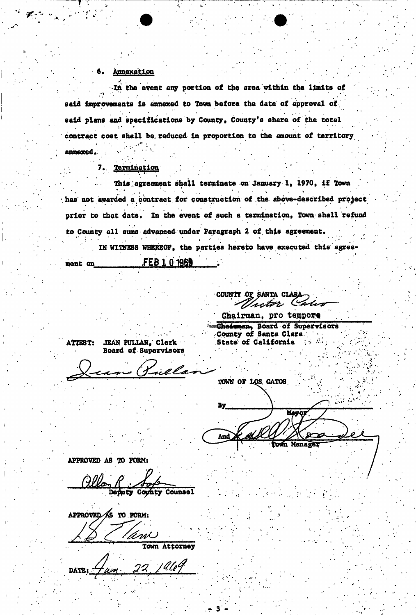# | -6. Annexation . Annexation . Annexation . Annexation . Annexation . Annexation . Annexation . Annexation . A

 $\mathbf{I} = \mathbf{I} \cdot \mathbf{S}$  , where  $\mathbf{I} = \mathbf{I} \cdot \mathbf{S}$  , we have the set of  $\mathbf{I} \cdot \mathbf{S}$  , we have the set of  $\mathbf{I} \cdot \mathbf{S}$ 

In the event any portion of the area within the limits of said improvements is annexed to Town before the date of approval of said plans and specifications by County, County's share of the total contract cost shall be. reduced In proportion to the amount of territory annexed.

I..' \ ' ... '

## 7.. Termination

This agreement shall terminate on January 1, 1970, if Town led a contract for construction of the above-described .has not awarded a contract for construction of the above-described project prior to that date. In the event of such a termination, Town shall refund i • to County all sums advanced under Paragraph 2 of this agreement. IN WITNESS WHEREOF, the parties hereto have executed this agree-

ment on . <del>The second or second the Telestic</del> 1969 flows<br>https://www.communication.com

COUNTY OF SANTA CLAI Inter Color

Chairman, pro tempore

ATTEST: JEAN PULLAN, Clerk Board of Supervisors

Chairman, Board of Supervisors County of Santa Clara State of California

TOWN OF LOS GATOS By Mayor eLiK And lown Manager

APPROVED AS TO FORM:

Deputy County Counsel

APPROVED AS TO FORM:

'Ani S Town Attorney

**DATE:**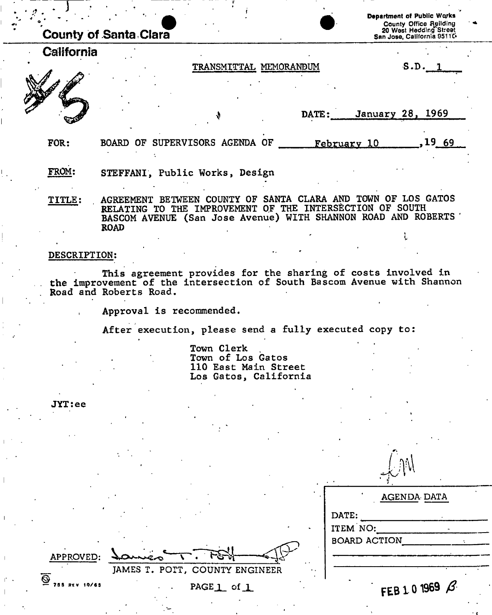|               | <b>County of Santa Clara</b>                                                                                                                                |                                                                   | <b>Department of Public Works</b><br>County Office Ruilding<br>20 West Hedding Street<br>San Jose, California 9511C |
|---------------|-------------------------------------------------------------------------------------------------------------------------------------------------------------|-------------------------------------------------------------------|---------------------------------------------------------------------------------------------------------------------|
| California    |                                                                                                                                                             |                                                                   |                                                                                                                     |
|               | TRANSMITTAL MEMORANDUM                                                                                                                                      |                                                                   | S.D. 1                                                                                                              |
|               |                                                                                                                                                             | DATE:                                                             | January 28, 1969                                                                                                    |
| FOR:          | BOARD OF SUPERVISORS AGENDA OF                                                                                                                              | February 10                                                       | .19 69                                                                                                              |
| FROM:         | STEFFANI, Public Works, Design                                                                                                                              |                                                                   |                                                                                                                     |
| <b>TITLE:</b> | BETWEEN COUNTY OF<br><b>AGREEMENT</b><br>THE IMPROVEMENT<br><b>RELATING</b><br>BASCOM AVENUE (San Jose Avenue) WITH SHANNON ROAD AND ROBERTS<br><b>ROAD</b> | SANTA CLARA AND TOWN OF LOS GATOS<br>OF THE INTERSECTION OF SOUTH |                                                                                                                     |
|               |                                                                                                                                                             |                                                                   |                                                                                                                     |

#### DESCRIPTION:

This agreement provides for the sharing of costs involved in the improvement of the intersection of South Bascom Avenue with Shannon Road and Roberts Road.

Approval is recommended.

JAMES T. POIT, COUNTY ENGINEER

PAGE<sub>1</sub> of<sub>1</sub>

After execution, please send a fully executed copy to:

<u>مار-</u>

Town Clerk Town of Los Gatos 110 East Main Street Los Gatos, California

JYT:ee

| $\blacksquare$      | AGENDA DATA    |
|---------------------|----------------|
|                     |                |
| DATE:               |                |
| ITEM NO:            |                |
| <b>BOARD ACTION</b> |                |
|                     |                |
|                     |                |
|                     |                |
|                     | FEB 1.0 1969 B |
|                     |                |

 $\bigtriangleup$  and

**@**  — 75 8 Rev 10/65

APPROVED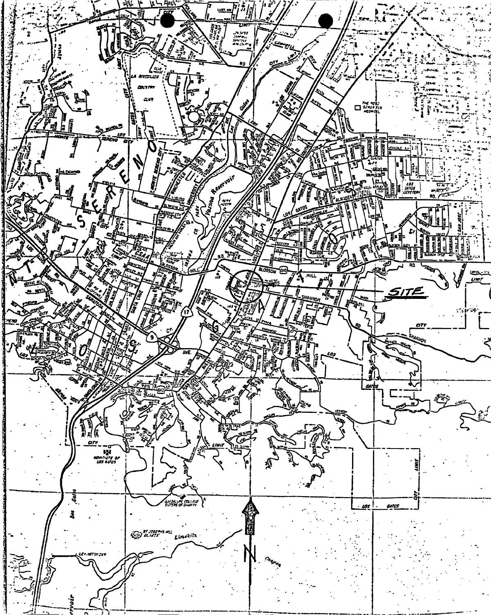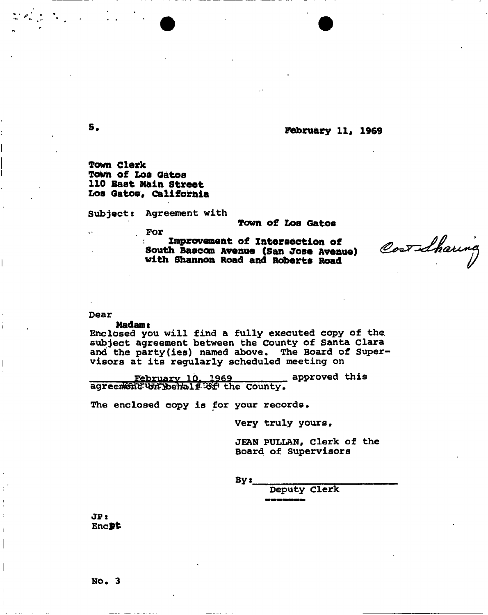**<sup>5</sup>\* February 11. 1969** 

**Town Clerk Town of Loa Oatoa 110 Baat Main Street Los** Gat**os, California** 

Subject: Agreement with

**Town of Loa Gatos** 

. For

**improvement of Intersection of South Basoom Avenue (San Jose Avenue) with Shannon Road and Roberts Road** 

Correcteuna

#### Dear

#### Madams

Enclosed you will find a fully executed copy of the. subject agreement between the County of Santa Clara and the party(ies) named above. The Board of Supervisors at its regularly scheduled meeting on

**Etebruary 10, 1969** approved this agreement with the County. agreeri $\mathbb{S}^{\mathbb{S}}$  the County, the County, the County, the County, the County, the County, the County, the County, the County, the County, the County, the County, the County, the County, the County, the County, the Co

The enclosed copy is for your records.

Very truly yours,

JEAN PULLAN, Clerk of the Board of Supervisors

By:

Deputy clerk

JP: Encpt

 $\mathcal{L} = \mathcal{L}$ 

No. 3